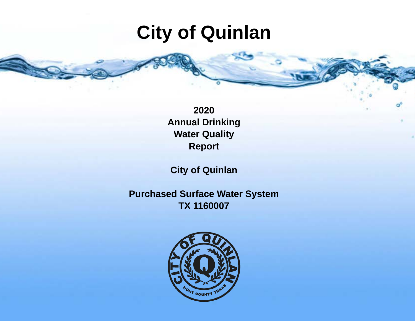# **City of Quinlan**

**2020 Annual Drinking Water Quality Report**

**City of Quinlan**

**Purchased Surface Water System TX 1160007**

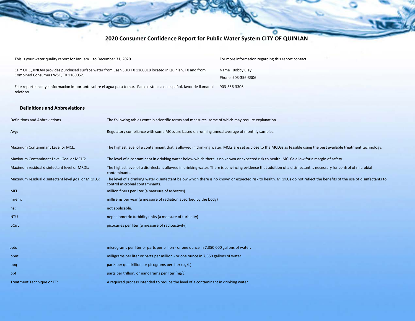## **2020 Consumer Confidence Report for Public Water System CITY OF QUINLAN**

| This is your water quality report for January 1 to December 31, 2020                                                             | For more information regarding this report contact: |
|----------------------------------------------------------------------------------------------------------------------------------|-----------------------------------------------------|
| CITY OF QUINLAN provides purchased surface water from Cash SUD TX 1160018 located in Quinlan, TX and from                        | Name Bobby Clay                                     |
| Combined Consumers WSC, TX 1160052.                                                                                              | Phone 903-356-3306                                  |
| Este reporte incluve información importante sobre el agua para tomar. Para asistencia en español, favor de llamar al<br>telefono | 903-356-3306.                                       |

### **Definitions and Abbreviations**

| Definitions and Abbreviations                      | The following tables contain scientific terms and measures, some of which may require explanation.                                                                                                        |
|----------------------------------------------------|-----------------------------------------------------------------------------------------------------------------------------------------------------------------------------------------------------------|
| Avg:                                               | Regulatory compliance with some MCLs are based on running annual average of monthly samples.                                                                                                              |
| Maximum Contaminant Level or MCL:                  | The highest level of a contaminant that is allowed in drinking water. MCLs are set as close to the MCLGs as feasible using the best available treatment technology.                                       |
| Maximum Contaminant Level Goal or MCLG:            | The level of a contaminant in drinking water below which there is no known or expected risk to health. MCLGs allow for a margin of safety.                                                                |
| Maximum residual disinfectant level or MRDL:       | The highest level of a disinfectant allowed in drinking water. There is convincing evidence that addition of a disinfectant is necessary for control of microbial<br>contaminants.                        |
| Maximum residual disinfectant level goal or MRDLG: | The level of a drinking water disinfectant below which there is no known or expected risk to health. MRDLGs do not reflect the benefits of the use of disinfectants to<br>control microbial contaminants. |
| <b>MFL</b>                                         | million fibers per liter (a measure of asbestos)                                                                                                                                                          |
| mrem:                                              | millirems per year (a measure of radiation absorbed by the body)                                                                                                                                          |
| na:                                                | not applicable.                                                                                                                                                                                           |
| <b>NTU</b>                                         | nephelometric turbidity units (a measure of turbidity)                                                                                                                                                    |
| pCi/L                                              | picocuries per liter (a measure of radioactivity)                                                                                                                                                         |
|                                                    |                                                                                                                                                                                                           |
| ppb:                                               | micrograms per liter or parts per billion - or one ounce in 7,350,000 gallons of water.                                                                                                                   |
| ppm:                                               | milligrams per liter or parts per million - or one ounce in 7,350 gallons of water.                                                                                                                       |
| ppq                                                | parts per quadrillion, or picograms per liter (pg/L)                                                                                                                                                      |
| ppt                                                | parts per trillion, or nanograms per liter (ng/L)                                                                                                                                                         |
| <b>Treatment Technique or TT:</b>                  | A required process intended to reduce the level of a contaminant in drinking water.                                                                                                                       |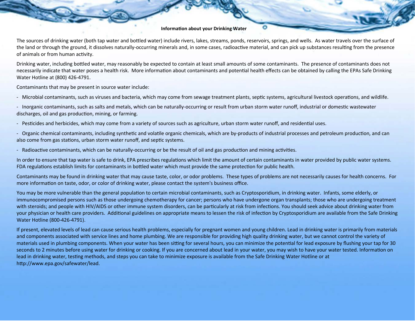#### **Information about your Drinking Water**

The sources of drinking water (both tap water and bottled water) include rivers, lakes, streams, ponds, reservoirs, springs, and wells. As water travels over the surface of the land or through the ground, it dissolves naturally-occurring minerals and, in some cases, radioactive material, and can pick up substances resulting from the presence of animals or from human activity.

Drinking water, including botled water, may reasonably be expected to contain at least small amounts of some contaminants. The presence of contaminants does not necessarily indicate that water poses a health risk. More information about contaminants and potential health effects can be obtained by calling the EPAs Safe Drinking Water Hotline at (800) 426-4791.

Contaminants that may be present in source water include:

- Microbial contaminants, such as viruses and bacteria, which may come from sewage treatment plants, septic systems, agricultural livestock operations, and wildlife.

- Inorganic contaminants, such as salts and metals, which can be naturally-occurring or result from urban storm water runoff, industrial or domestic wastewater discharges, oil and gas production, mining, or farming.

- Pesticides and herbicides, which may come from a variety of sources such as agriculture, urban storm water runoff, and residential uses.

- Organic chemical contaminants, including synthetic and volatile organic chemicals, which are by-products of industrial processes and petroleum production, and can also come from gas stations, urban storm water runoff, and septic systems.

- Radioactive contaminants, which can be naturally-occurring or be the result of oil and gas production and mining activities.

In order to ensure that tap water is safe to drink, EPA prescribes regulations which limit the amount of certain contaminants in water provided by public water systems. FDA regulations establish limits for contaminants in bottled water which must provide the same protection for public health.

Contaminants may be found in drinking water that may cause taste, color, or odor problems. These types of problems are not necessarily causes for health concerns. For more information on taste, odor, or color of drinking water, please contact the system's business office.

You may be more vulnerable than the general population to certain microbial contaminants, such as Cryptosporidium, in drinking water. Infants, some elderly, or immunocompromised persons such as those undergoing chemotherapy for cancer; persons who have undergone organ transplants; those who are undergoing treatment with steroids; and people with HIV/AIDS or other immune system disorders, can be particularly at risk from infections. You should seek advice about drinking water from your physician or health care providers. Additional guidelines on appropriate means to lessen the risk of infection by Cryptosporidium are available from the Safe Drinking Water Hotline (800-426-4791).

If present, elevated levels of lead can cause serious health problems, especially for pregnant women and young children. Lead in drinking water is primarily from materials and components associated with service lines and home plumbing. We are responsible for providing high quality drinking water, but we cannot control the variety of materials used in plumbing components. When your water has been sitting for several hours, you can minimize the potential for lead exposure by flushing your tap for 30 seconds to 2 minutes before using water for drinking or cooking. If you are concerned about lead in your water, you may wish to have your water tested. Information on lead in drinking water, testing methods, and steps you can take to minimize exposure is available from the Safe Drinking Water Hotline or at htp://www.epa.gov/safewater/lead.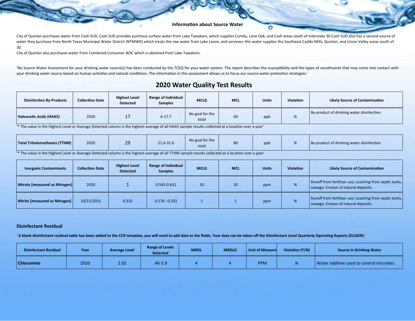#### **Information about Source Water**

City of Quinlan purchases water from Cash SUD, Cash SUD provides purchase surface water from Lake Tawakoni, which supplies Cumby, Lone Oak, and Cash areas south of Interstate 30.Cash SUD also has a second source of water they purchase from North Texas Municipal Water District (NTMWD) which treats the raw water from Lake Lavon, and services< this water supplies the Southeast Caddo Mills, Quinlan, and Union Valley areas south of 30.

City of Quinlan also purchases water from Combined Consumer WSC which is obtained from Lake Tawakoni.

'No Source Water Assessment for your drinking water source(s) has been conducted by the TCEQ for your water system. The report describes the susceptibility and the types of constituents that may come into contact with your drinking water source based on human activities and natural conditions. The information in this assessment allows us to focus our source water protection strategies.'

## **2020 Water Quality Test Results**

| <b>Disinfection By-Products</b> | <b>Collection Date</b> | <b>Highest Level</b><br><b>Detected</b> | Range of Individual<br><b>Samples</b> | <b>MCLG</b>              | <b>MCL</b> | <b>Units</b> | <b>Violation</b> | <b>Likely Source of Contamination</b>      |
|---------------------------------|------------------------|-----------------------------------------|---------------------------------------|--------------------------|------------|--------------|------------------|--------------------------------------------|
| Haloacetic Acids (HAA5)         | 2020                   |                                         | $6 - 17.7$                            | No goal for the<br>total | 60         | ppb          |                  | By-product of drinking water disinfection. |

<sup>\*</sup> The value in the Highest Level or Average Detected column is the highest average of all HAA5 sample results collected at a location over a year'

| Total Trihalomethanes (TTHM) | 2020 | <b>Contract Contract Contract Contract Contract Contract Contract Contract Contract Contract Contract Contract Co</b><br>20<br>-- | 21.6-31.6 | No goal for the<br>total | 80 | ppb |  | By-product of drinking water disinfection. |
|------------------------------|------|-----------------------------------------------------------------------------------------------------------------------------------|-----------|--------------------------|----|-----|--|--------------------------------------------|
|------------------------------|------|-----------------------------------------------------------------------------------------------------------------------------------|-----------|--------------------------|----|-----|--|--------------------------------------------|

'\* The value in the Highest Level or Average Detected column is the highest average of all TTHM sample results collected at a location over a year'

| <b>Inorganic Contaminants</b>  | <b>Collection Date</b> | <b>Highest Level</b><br><b>Detected</b> | Range of Individual<br><b>Samples</b> | <b>MCLG</b> | <b>MCL</b> | <b>Units</b> | <b>Violation</b> | <b>Likely Source of Contamination</b>                                                           |
|--------------------------------|------------------------|-----------------------------------------|---------------------------------------|-------------|------------|--------------|------------------|-------------------------------------------------------------------------------------------------|
| Nitrate [measured as Nitrogen] | 2020                   |                                         | 0.542-0.651                           | 10          | 10         | ppm          | N.               | Runoff from fertilizer use; Leaching from septic tanks,<br>sewage; Erosion of natural deposits. |
| Nitrite [measured as Nitrogen] | 10/21/2015             | 0.332                                   | $0.178 - 0.332$                       |             |            | ppm          | N.               | Runoff from fertilizer use; Leaching from septic tanks,<br>sewage; Erosion of natural deposits. |

#### **Disinfectant Residual**

' **A blank disinfectant residual table has been added to the CCR template, you will need to add data to the fields. Your data can be taken off the Disinfectant Level Quarterly Opera�ng Reports (DLQOR).**'

| <b>Disinfectant Residual</b> | Year | <b>Average Level</b> | <b>Range of Levels</b><br><b>Detected</b> | <b>MRDL</b> | <b>MRDLG</b> | Unit of Measure | Violation (Y/N) | <b>Source in Drinking Water</b>          |
|------------------------------|------|----------------------|-------------------------------------------|-------------|--------------|-----------------|-----------------|------------------------------------------|
| <b>Chloramine</b>            | 2020 | 2.02                 | .46-3.9                                   |             |              | <b>PPM</b>      | N               | Water additive used to control microbes. |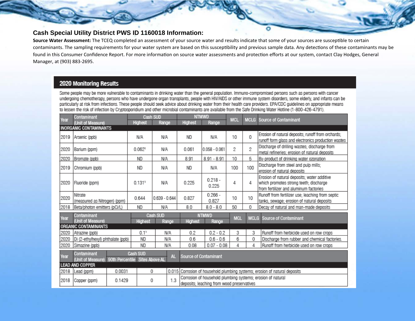## **Cash Special Utility District PWS ID 1160018 Information:**

Source Water Assessment: The TCEQ completed an assessment of your source water and results indicate that some of your sources are susceptible to certain contaminants. The sampling requirements for your water system are based on this susceptibility and previous sample data. Any detections of these contaminants may be found in this Consumer Confidence Report. For more information on source water assessments and protection efforts at our system, contact Clay Hodges, General Manager, at (903) 883-2695.

## 2020 Monitoring Results

Some people may be more vulnerable to contaminants in drinking water than the general population. Immuno-compromised persons such as persons with cancer undergoing chemotherapy, persons who have undergone organ transplants, people with HIV/AIDS or other immune system disorders, some elderly, and infants can be particularly at risk from infections. These people should seek advice about drinking water from their health care providers. EPA/CDC guidelines on appropriate means to lessen the risk of infection by Cryptosporidium and other microbial contaminants are available from the Safe Drinking Water Hotline (1-800-426-4791).

| Year | Contaminant                                                |        |                                            | Cash SUD          |     | <b>NTMWD</b>                                                                                                                                                                            |                    | <b>MCL</b> |             | MCLG Source of Contaminant                                                                                                      |  |
|------|------------------------------------------------------------|--------|--------------------------------------------|-------------------|-----|-----------------------------------------------------------------------------------------------------------------------------------------------------------------------------------------|--------------------|------------|-------------|---------------------------------------------------------------------------------------------------------------------------------|--|
|      | (Unit of Measure)                                          |        | Highest                                    | Range             |     | Highest                                                                                                                                                                                 | Range              |            |             |                                                                                                                                 |  |
|      | <b>INORGANIC CONTAMINANTS</b>                              |        |                                            |                   |     |                                                                                                                                                                                         |                    |            |             |                                                                                                                                 |  |
| 2019 | Arsenic (ppb)                                              |        | N/A                                        | N/A               |     | <b>ND</b>                                                                                                                                                                               | N/A                | 10         | 0           | Erosion of natural deposits; runoff from orchards;<br>runoff form glass and electronics production wastes                       |  |
| 2020 | Barium (ppm)                                               |        | $0.062$ <sup>1</sup>                       | N/A               |     | 0.061                                                                                                                                                                                   | $0.058 - 0.061$    | 2          | 2           | Discharge of drilling wastes; discharge from<br>metal refineries: erosion of natural deposits                                   |  |
| 2020 | Bromate (ppb)                                              |        | <b>ND</b>                                  | N/A               |     | 8.91                                                                                                                                                                                    | $8.91 - 8.91$      | 10         | 5           | By-product of drinking water ozonation                                                                                          |  |
| 2019 | Chromium (ppb)                                             |        | <b>ND</b>                                  | N/A               |     | <b>ND</b>                                                                                                                                                                               | N/A                | 100        | 100         | Discharge from steel and pulp mills;<br>erosion of natural deposits                                                             |  |
| 2020 | Fluoride (pom)                                             |        | $0.131$ <sup>1</sup>                       | N/A               |     | 0.225                                                                                                                                                                                   | $0.218 -$<br>0.225 | 4          | 4           | Erosion of natural deposits; water additive<br>which promotes strong teeth; discharge<br>from fertilizer and aluminum factories |  |
| 2020 | Nitrate<br>(measured as Nitrogen) (ppm)                    |        | 0.644                                      | $0.639 - 0.644$   |     | 0.827                                                                                                                                                                                   | $0.266 -$<br>0.827 | 10         | 10          | Runoff from fertilizer use; leaching from septic<br>tanks, sewage; erosion of natural deposits                                  |  |
| 2018 | Beta/photon emitters (pCi/L)                               |        | <b>ND</b>                                  | N/A               |     | 8.0                                                                                                                                                                                     | $8.0 - 8.0$        | 50         | 0           | Decay of natural and man-made deposits                                                                                          |  |
| Year | Contaminant<br>(Unit of Measure)                           |        | <b>Highest</b>                             | Cash SUD<br>Range |     | <b>NTMWD</b><br><b>Highest</b><br>Range                                                                                                                                                 |                    | <b>MCL</b> | <b>MCLG</b> | Source of Contaminant                                                                                                           |  |
|      | ORGANIC CONTAMINANTS                                       |        |                                            |                   |     |                                                                                                                                                                                         |                    |            |             |                                                                                                                                 |  |
| 2020 | Atrazine (ppb)                                             |        | 0.11                                       | N/A               |     | 0.2                                                                                                                                                                                     | $0.2 - 0.2$        | 3          | 3           | Runoff from herbicide used on row crops                                                                                         |  |
| 2020 | Di (2-ethylhexyl) phthalate (ppb)                          |        | ND                                         | N/A               |     | 0.6                                                                                                                                                                                     | $0.6 - 0.6$        | 6          | 0           | Discharge from rubber and chemical factories.                                                                                   |  |
| 2020 | Simazine (ppb)                                             |        | ND                                         | N/A               |     | 0.08                                                                                                                                                                                    | $0.07 - 0.08$      | 4          | 4           | Runoff from herbicide used on row crops                                                                                         |  |
| Year | Contaminant<br>(Unit of Measure)<br><b>LEAD AND COPPER</b> |        | Cash SUD<br>90th Percentile Sites Above AL |                   | AL  | Source of Contaminant                                                                                                                                                                   |                    |            |             |                                                                                                                                 |  |
| 2018 | Lead (ppm)                                                 | 0.0031 |                                            | 0                 |     |                                                                                                                                                                                         |                    |            |             |                                                                                                                                 |  |
| 2018 | Copper (ppm)                                               | 0.1429 |                                            | 0                 | 1.3 | 0.015 Corrosion of household plumbing systems; erosion of natural deposits<br>Corrosion of household plumbing systems; erosion of natural<br>deposits; leaching from wood preservatives |                    |            |             |                                                                                                                                 |  |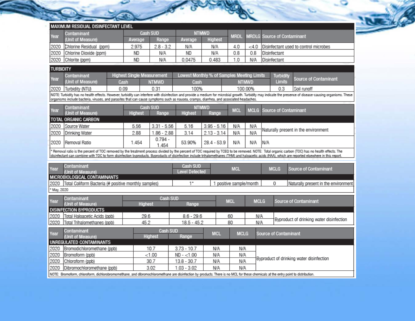|                  |                                                                                                                                                                                                      |                                   |                   |                       |                                            |                         | $\tilde{}$   |                                    |                                       |                                                                                                                                                                                                              |
|------------------|------------------------------------------------------------------------------------------------------------------------------------------------------------------------------------------------------|-----------------------------------|-------------------|-----------------------|--------------------------------------------|-------------------------|--------------|------------------------------------|---------------------------------------|--------------------------------------------------------------------------------------------------------------------------------------------------------------------------------------------------------------|
|                  | MAXIMUM RESIDUAL DISINFECTANT LEVEL                                                                                                                                                                  |                                   |                   |                       |                                            |                         |              |                                    |                                       |                                                                                                                                                                                                              |
| Year             | Contaminant                                                                                                                                                                                          |                                   | Cash SUD          |                       | <b>NTMWD</b>                               | <b>MRDL</b>             |              | <b>MRDLG Source of Contaminant</b> |                                       |                                                                                                                                                                                                              |
|                  | (Unit of Measure)                                                                                                                                                                                    | Average                           | Range             | Average               | Highest                                    |                         |              |                                    |                                       |                                                                                                                                                                                                              |
| 2020             | Chlorine Residual (ppm)                                                                                                                                                                              | 2.975                             | $2.8 - 3.2$       | N/A                   | N/A                                        | 4.0                     | $<$ 4.0      |                                    | Disinfectant used to control microbes |                                                                                                                                                                                                              |
| 2020             | Chlorine Dioxide (ppm)                                                                                                                                                                               | <b>ND</b>                         | N/A               | ND                    | N/A                                        | 0.8                     | 0.8          |                                    | Disinfectant                          |                                                                                                                                                                                                              |
| 2020             | Chlorite (ppm)                                                                                                                                                                                       | <b>ND</b>                         | ΝA                | 0.0475                | 0.483                                      | 1.0                     | N/A          |                                    | Disinfectant                          |                                                                                                                                                                                                              |
| <b>TURBIDITY</b> |                                                                                                                                                                                                      |                                   |                   |                       |                                            |                         |              |                                    |                                       |                                                                                                                                                                                                              |
| Year             | Contaminant                                                                                                                                                                                          | <b>Highest Single Measurement</b> |                   |                       | Lowest Monthly % of Samples Meeting Limits |                         |              |                                    | Turbidity                             | Source of Contaminant                                                                                                                                                                                        |
|                  | (Unit of Measure)                                                                                                                                                                                    | Cash                              | <b>NTMWD</b>      | Cash                  |                                            |                         | <b>NTMWD</b> |                                    | Limits                                |                                                                                                                                                                                                              |
| 2020             | Turbidity (NTU)                                                                                                                                                                                      | 0.09                              | 0.31              | 100%                  |                                            |                         | 100.00%      |                                    | 0.3                                   | Soil runoff                                                                                                                                                                                                  |
|                  | organisms include bacteria, viruses, and parasites that can cause symptoms such as nausea, cramps, diarrhea, and associated headaches.                                                               |                                   |                   |                       |                                            |                         |              |                                    |                                       | NOTE: Turbidity has no health effects. However, turbidity can interfere with disinfection and provide a medium for microbial growth. Turbidity may indicate the presence of disease-causing organisms. These |
|                  |                                                                                                                                                                                                      |                                   |                   |                       |                                            |                         |              |                                    |                                       |                                                                                                                                                                                                              |
| Year             | Contaminant<br>(Unit of Measure)                                                                                                                                                                     | Highest                           | Cash SUD<br>Range | Highest               | <b>NTMWD</b><br>Range                      | <b>MCL</b>              | <b>MCLG</b>  |                                    | Source of Contaminant                 |                                                                                                                                                                                                              |
|                  | TOTAL ORGANIC CARBON                                                                                                                                                                                 |                                   |                   |                       |                                            |                         |              |                                    |                                       |                                                                                                                                                                                                              |
| 2020             | Source Water                                                                                                                                                                                         | 5.56                              | $3.31 - 5.56$     | 5.16                  | $3.95 - 5.16$                              | N/A                     | N/A          |                                    |                                       |                                                                                                                                                                                                              |
| 2020             | Drinking Water                                                                                                                                                                                       | 2.88                              | $1.86 - 2.88$     | 3.14                  | $2.13 - 3.14$                              | N/A                     | N/A          |                                    |                                       | Naturally present in the environment                                                                                                                                                                         |
|                  |                                                                                                                                                                                                      |                                   | $0.794 -$         |                       |                                            |                         |              |                                    |                                       |                                                                                                                                                                                                              |
| 2020             | Removal Ratio                                                                                                                                                                                        | 1.454                             | 1.454             | 53.90%                | $28.4 - 53.9$                              | N/A                     | N/A          | N/A                                |                                       |                                                                                                                                                                                                              |
|                  | Removal ratio is the percent of TOC removed by the treatment process divided by the percent of TOC required by TCEQ to be removed. NOTE: Total organic carbon (TOC) has no health effects. The       |                                   |                   |                       |                                            |                         |              |                                    |                                       |                                                                                                                                                                                                              |
|                  | disinfectant can combine with TOC to form disinfection byproducts. Byproducts of disinfection include trihalomethanes (THM) and haloacetic acids (HAA), which are reported elsewhere in this report. |                                   |                   |                       |                                            |                         |              |                                    |                                       |                                                                                                                                                                                                              |
|                  | Contaminant                                                                                                                                                                                          |                                   |                   | <b>Cash SUD</b>       |                                            |                         |              |                                    |                                       |                                                                                                                                                                                                              |
| Year             | (Unit of Measure)                                                                                                                                                                                    |                                   |                   | <b>Level Detected</b> |                                            | <b>MCL</b>              |              |                                    | <b>MCLG</b>                           | Source of Contaminant                                                                                                                                                                                        |
|                  | MICROBIOLOGICAL CONTAMINANTS                                                                                                                                                                         |                                   |                   |                       |                                            |                         |              |                                    |                                       |                                                                                                                                                                                                              |
| 2020             | Total Coliform Bacteria (# positive monthly samples)                                                                                                                                                 |                                   |                   | $1^*$                 |                                            | 1 positive sample/month |              |                                    | 0                                     | Naturally present in the environment                                                                                                                                                                         |
| May, 2020        |                                                                                                                                                                                                      |                                   |                   |                       |                                            |                         |              |                                    |                                       |                                                                                                                                                                                                              |
| Year             | Contaminant                                                                                                                                                                                          |                                   | Cash SUD          |                       |                                            | <b>MCL</b>              | <b>MCLG</b>  |                                    |                                       | Source of Contaminant                                                                                                                                                                                        |
|                  | (Unit of Measure)                                                                                                                                                                                    | Highest                           |                   | Range                 |                                            |                         |              |                                    |                                       |                                                                                                                                                                                                              |
|                  | <b>DISINFECTION BYPRODUCTS</b>                                                                                                                                                                       |                                   |                   |                       |                                            |                         |              |                                    |                                       |                                                                                                                                                                                                              |
| 2020             | Total Haloacetic Acids (ppb)                                                                                                                                                                         | 29.6                              |                   | $8.6 - 29.6$          |                                            | 60                      | N/A          |                                    |                                       | Byproduct of drinking water disinfection                                                                                                                                                                     |
| 2020             | Total Trihalomethanes (ppb)                                                                                                                                                                          | 45.2                              |                   | $18.5 - 45.2$         |                                            | 80                      | N/A          |                                    |                                       |                                                                                                                                                                                                              |
|                  | Contaminant                                                                                                                                                                                          |                                   | Cash SUD          |                       | <b>MOL</b>                                 | <b>MOLO</b>             |              |                                    | af Osmbornimork                       |                                                                                                                                                                                                              |

 $\sim$   $\sim$   $\sim$ 

**COMPA** 

| Year | Contaminant                     |         | Cash SUD      | MCL | <b>MCLG</b> | Source of Contaminant                    |  |
|------|---------------------------------|---------|---------------|-----|-------------|------------------------------------------|--|
|      | (Unit of Measure)               | Highest | Range         |     |             |                                          |  |
|      | UNREGULATED CONTAMINANTS        |         |               |     |             |                                          |  |
| 2020 | Bromodichloromethane (ppb)      | 10.7    | $3.73 - 10.7$ | NΛ  | N/A         |                                          |  |
| 2020 | Bromoform (ppb)                 | < 1.00  | ND - <1.00    | N/A | N/A         |                                          |  |
|      | 2020 Chloroform (ppb)           | 30.7    | $13.8 - 30.7$ | N/A | N/A         | Byproduct of drinking water disinfection |  |
|      | 2020 Dibromochloromethane (ppb) | 3.02    | 1.03 - 3.02   | N/A | N/A         |                                          |  |
|      |                                 |         |               |     |             |                                          |  |

NOTE: Bromoform, chloroform, dichlorobromomethane, and dibromochloromethane are disinfection by-products. There is no MCL for these chemicals at the entry point to distribution.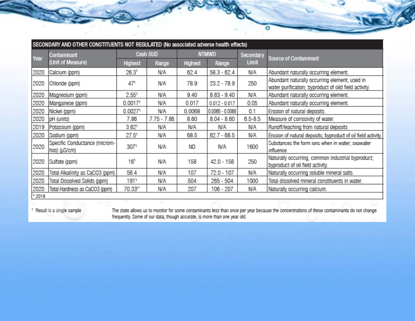|         | SECONDARY AND OTHER CONSTITUENTS NOT REGULATED (No associated adverse health effects) |                     |               |              |                   |              |                                                                                                        |  |  |  |  |
|---------|---------------------------------------------------------------------------------------|---------------------|---------------|--------------|-------------------|--------------|--------------------------------------------------------------------------------------------------------|--|--|--|--|
| Year    | Contaminant                                                                           |                     | Cash SUD      | <b>NTMWD</b> |                   | Secondary    | Source of Contaminant                                                                                  |  |  |  |  |
|         | (Unit of Measure)                                                                     | Highest             | Range         | Highest      | Range             | <b>Limit</b> |                                                                                                        |  |  |  |  |
| 2020    | Calcium (ppm)                                                                         | 26.3 <sup>1</sup>   | N/A           | 62.4         | $58.3 - 62.4$     | N/A          | Abundant naturally occurring element.                                                                  |  |  |  |  |
| 2020    | Chloride (ppm)                                                                        | 471                 | N/A           | 78.9         | 23.2 - 78.9       | 250          | Abundant naturally occurring element; used in<br>water purification; byproduct of oild field activity. |  |  |  |  |
| 2020    | Magnesium (ppm)                                                                       | 2.55 <sup>1</sup>   | N/A           | 9.40         | $8.83 - 9.40$     | N/A          | Abundant naturally occurring element.                                                                  |  |  |  |  |
| 2020    | Manganese (ppm)                                                                       | 0.00171             | N/A           | 0.017        | $0.012 - 0.017$   | 0.05         | Abundant naturally occurring element.                                                                  |  |  |  |  |
| 2020    | Nickel (ppm)                                                                          | 0.00271             | N/A           | 0.0068       | $0.0066 - 0.0068$ | 0.1          | Erosion of natural deposits.                                                                           |  |  |  |  |
| 2020    | pH (units)                                                                            | 7.86                | $7.75 - 7.86$ | 8.60         | $8.04 - 8.60$     | $6.5 - 8.5$  | Measure of corrosivity of water.                                                                       |  |  |  |  |
| 2019    | Potassium (ppm)                                                                       | $3.62$ <sup>1</sup> | N/A           | N/A          | N/A               | N/A          | Runoff/leaching from natural deposits                                                                  |  |  |  |  |
| 2020    | Sodium (ppm)                                                                          | $27.5^{\circ}$      | N/A           | 68.5         | $62.7 - 68.5$     | N/A          | Erosion of natural deposits; byproduct of oil field activity.                                          |  |  |  |  |
| 2020    | Specific Conductance (microm-<br>hos) (µS/cm)                                         | 3071                | N/A           | ND           | N/A               | 1600         | Substances the form ions when in water; seawater<br>influence                                          |  |  |  |  |
| 2020    | Sulfate (ppm)                                                                         | 16 <sup>1</sup>     | N/A           | 158          | 42.0 - 158        | 250          | Naturally occurring; common industrial byproduct;<br>byproduct of oil field activity.                  |  |  |  |  |
| 2020    | Total Alkalinity as CaCO3 (ppm)                                                       | 56.4                | N/A           | 107          | 72.0 - 107        | N/A          | Naturally occurring soluble mineral salts.                                                             |  |  |  |  |
| 2020    | Total Dissolved Solids (ppm)                                                          | 1911                | N/A           | 504          | 265 - 504         | 1000         | Total dissolved mineral constituents in water.                                                         |  |  |  |  |
| 2020    | Total Hardness as CaCO3 (ppm)                                                         | 70.33"              | N/A           | 207          | 106 - 207         | N/A          | Naturally occurring calcium.                                                                           |  |  |  |  |
| $*2019$ |                                                                                       |                     |               |              |                   |              |                                                                                                        |  |  |  |  |

<sup>1</sup> Result is a single sample

The state allows us to monitor for some contaminants less than once per year because the concentrations of these contaminants do not change<br>frequently. Some of our data, though accurate, is more than one year old.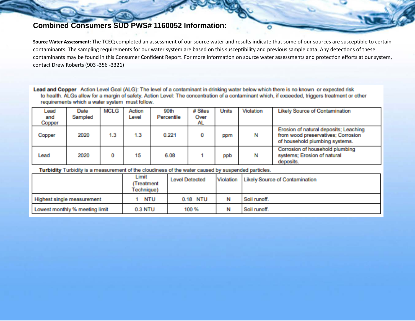## **Combined Consumers SUD PWS# 1160052 Information:**

Source Water Assessment: The TCEQ completed an assessment of our source water and results indicate that some of our sources are susceptible to certain contaminants. The sampling requirements for our water system are based on this susceptibility and previous sample data. Any detections of these contaminants may be found in this Consumer Confident Report. For more information on source water assessments and protection efforts at our system, contact Drew Roberts (903 -356 -3321)

Lead and Copper Action Level Goal (ALG): The level of a contaminant in drinking water below which there is no known or expected risk to health. ALGs allow for a margin of safety. Action Level: The concentration of a contaminant which, if exceeded, triggers treatment or other requirements which a water system must follow.

| Lead<br>and<br>Copper | Date<br>Sampled | <b>MCLG</b> | <b>Action</b><br>Level | 90th<br>Percentile | # Sites<br><b>Over</b><br>AL. | <b>Units</b> | Violation | <b>Likely Source of Contamination</b>                                       |
|-----------------------|-----------------|-------------|------------------------|--------------------|-------------------------------|--------------|-----------|-----------------------------------------------------------------------------|
|                       |                 |             |                        |                    |                               |              |           | Erosion of natural deposits; Leaching                                       |
| Copper                | 2020            | 1.3         | 1.3                    | 0.221              | 0                             | gehn         | N         | from wood preservatives; Corrosion<br>of household plumbing systems.        |
| Lead                  | 2020            |             | 15                     | 6.08               |                               | ppb          | N         | Corrosion of household plumbing<br>systems; Erosion of natural<br>deposits. |

Turbidity Turbidity is a measurement of the cloudiness of the water caused by suspended particles.

|                                | Limit<br>(Treatment<br>Technique) | <b>Level Detected</b> | Violation | <b>Likely Source of Contamination</b> |
|--------------------------------|-----------------------------------|-----------------------|-----------|---------------------------------------|
| Highest single measurement     | NTU                               | 0.18 NTU              | N.        | Soil runoff.                          |
| Lowest monthly % meeting limit | <b>0.3 NTU</b>                    | 100 %                 |           | Soil runoff.                          |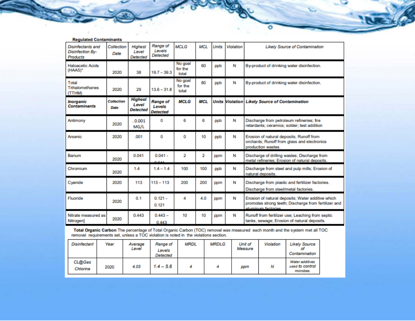| <b>Regulated Contaminants</b>                            |                    |                                            |                                              |                             |            |       |           |                                                                                                                                 |
|----------------------------------------------------------|--------------------|--------------------------------------------|----------------------------------------------|-----------------------------|------------|-------|-----------|---------------------------------------------------------------------------------------------------------------------------------|
| Disinfectants and<br><b>Disinfection By-</b><br>Products | Callection<br>Date | Highest<br>Level<br><b>Detected</b>        | Range of<br>Levels<br>Detected               | <b>MCLG</b>                 | <b>MCL</b> | Units | Violation | <b>Likely Source of Contamination</b>                                                                                           |
| <b>Haloacetic Acids</b><br>(HAA5)*                       | 2020               | 38                                         | $19.7 - 39.3$                                | No goal<br>for the<br>Intal | 60         | ppb   | Ν         | By-product of drinking water disinfection.                                                                                      |
| Total<br>Trihalomethanes<br>(TTHM)                       | 2020               | 29                                         | $13.6 - 31.8$                                | No goal<br>for the<br>total | 80         | ppb   | Ν         | By-product of drinking water disinfection.                                                                                      |
| Inorganic<br><b>Contaminants</b>                         | Collection<br>Date | <b>Highest</b><br>Level<br><b>Detected</b> | <b>Range of</b><br>Levels<br><b>Detected</b> | <b>MCLG</b>                 | <b>MCL</b> |       |           | <b>Units Violation Likely Source of Contamination</b>                                                                           |
| Antimony                                                 | 2020               | 0.001<br>MG/L                              | 0                                            | 6                           | 6          | ppb   | N         | Discharge from petroleum refineries; fire<br>retardants; ceramics; solder; test addition                                        |
| Arsenic                                                  | 2020               | .001                                       | 0                                            | 0                           | 10         | ppb   | Ν         | Erosion of natural deposits; Runoff from<br>orchards; Runoff from glass and electronics<br>production wastes.                   |
| Barium                                                   | 2020               | 0.041                                      | $0.041 -$<br><b>AA</b>                       | 2                           | 2          | ppm   | N         | Discharge of drilling wastes; Discharge from<br>metal refineries; Erosion of natural deposits.                                  |
| Chromium                                                 | 2020               | 14                                         | $14 - 14$                                    | 100                         | 100        | ppb   | N         | Discharge from steel and pulp mills; Erosion of<br>natural deposits.                                                            |
| Cyanide                                                  | 2020               | 113                                        | $113 - 113$                                  | 200                         | 200        | ppm   | Ν         | Discharge from plastic and fertilizer factories.<br>Discharge from steel/metal factories.                                       |
| Fluoride                                                 | 2020               | 0.1                                        | $0.121 -$<br>0.121                           | 4                           | 4.0        | ppm   | N         | Erosion of natural deposits; Water additive which<br>promotes strong teeth; Discharge from fertilizer and<br>aluminum factorias |
| Nitrate measured as<br>Nitrogen]                         | 2020               | 0.443                                      | $0.443 -$<br>0.443                           | 10                          | 10         | ppm   | N         | Runoff from fertilizer use; Leaching from septic<br>tanks, sewage; Erosion of natural deposits.                                 |

Total Organic Carbon The percentage of Total Organic Carbon (TOC) removal was measured each month and the system met all TOC<br>removal requirements set, unless a TOC violation is noted in the violations section.

| Disinfectant       | Year | Average<br>Level | Range of<br>Levels<br>Detected | <b>MRDL</b> | <b>MRDLG</b> | Unit of<br>Measure | Violation | Likely Source<br>Contamination                  |
|--------------------|------|------------------|--------------------------------|-------------|--------------|--------------------|-----------|-------------------------------------------------|
| CL@Gas<br>Chlorine | 2020 | 4.03             | $1.4 - 5.6$                    |             |              | ppm                | Ν         | Water additives<br>used to control<br>microbes. |